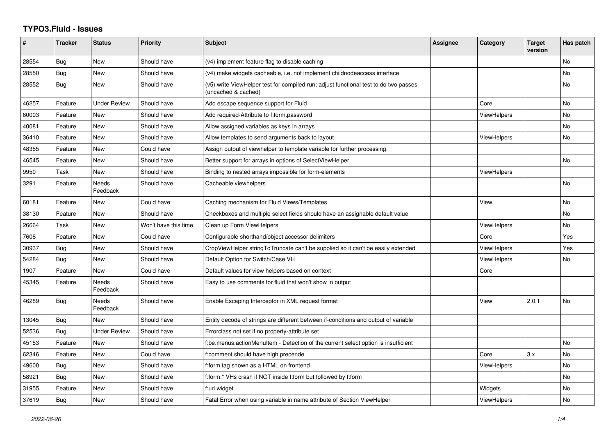## **TYPO3.Fluid - Issues**

| ∦     | <b>Tracker</b> | <b>Status</b>            | <b>Priority</b>      | Subject                                                                                                     | <b>Assignee</b> | Category           | <b>Target</b><br>version | Has patch |
|-------|----------------|--------------------------|----------------------|-------------------------------------------------------------------------------------------------------------|-----------------|--------------------|--------------------------|-----------|
| 28554 | Bug            | New                      | Should have          | (v4) implement feature flag to disable caching                                                              |                 |                    |                          | No        |
| 28550 | Bug            | New                      | Should have          | (v4) make widgets cacheable, i.e. not implement childnodeaccess interface                                   |                 |                    |                          | No        |
| 28552 | <b>Bug</b>     | New                      | Should have          | (v5) write ViewHelper test for compiled run; adjust functional test to do two passes<br>(uncached & cached) |                 |                    |                          | No        |
| 46257 | Feature        | Under Review             | Should have          | Add escape sequence support for Fluid                                                                       |                 | Core               |                          | No        |
| 60003 | Feature        | <b>New</b>               | Should have          | Add required-Attribute to f:form.password                                                                   |                 | <b>ViewHelpers</b> |                          | No        |
| 40081 | Feature        | <b>New</b>               | Should have          | Allow assigned variables as keys in arrays                                                                  |                 |                    |                          | No        |
| 36410 | Feature        | New                      | Should have          | Allow templates to send arguments back to layout                                                            |                 | <b>ViewHelpers</b> |                          | No        |
| 48355 | Feature        | <b>New</b>               | Could have           | Assign output of viewhelper to template variable for further processing.                                    |                 |                    |                          |           |
| 46545 | Feature        | <b>New</b>               | Should have          | Better support for arrays in options of SelectViewHelper                                                    |                 |                    |                          | <b>No</b> |
| 9950  | Task           | New                      | Should have          | Binding to nested arrays impossible for form-elements                                                       |                 | <b>ViewHelpers</b> |                          |           |
| 3291  | Feature        | <b>Needs</b><br>Feedback | Should have          | Cacheable viewhelpers                                                                                       |                 |                    |                          | No        |
| 60181 | Feature        | New                      | Could have           | Caching mechanism for Fluid Views/Templates                                                                 |                 | View               |                          | No        |
| 38130 | Feature        | New                      | Should have          | Checkboxes and multiple select fields should have an assignable default value                               |                 |                    |                          | No        |
| 26664 | Task           | New                      | Won't have this time | Clean up Form ViewHelpers                                                                                   |                 | <b>ViewHelpers</b> |                          | No        |
| 7608  | Feature        | <b>New</b>               | Could have           | Configurable shorthand/object accessor delimiters                                                           |                 | Core               |                          | Yes       |
| 30937 | Bug            | New                      | Should have          | CropViewHelper stringToTruncate can't be supplied so it can't be easily extended                            |                 | <b>ViewHelpers</b> |                          | Yes       |
| 54284 | <b>Bug</b>     | New                      | Should have          | Default Option for Switch/Case VH                                                                           |                 | ViewHelpers        |                          | No.       |
| 1907  | Feature        | <b>New</b>               | Could have           | Default values for view helpers based on context                                                            |                 | Core               |                          |           |
| 45345 | Feature        | <b>Needs</b><br>Feedback | Should have          | Easy to use comments for fluid that won't show in output                                                    |                 |                    |                          |           |
| 46289 | Bug            | Needs<br>Feedback        | Should have          | Enable Escaping Interceptor in XML request format                                                           |                 | View               | 2.0.1                    | No        |
| 13045 | Bug            | New                      | Should have          | Entity decode of strings are different between if-conditions and output of variable                         |                 |                    |                          |           |
| 52536 | Bug            | <b>Under Review</b>      | Should have          | Errorclass not set if no property-attribute set                                                             |                 |                    |                          |           |
| 45153 | Feature        | <b>New</b>               | Should have          | f:be.menus.actionMenuItem - Detection of the current select option is insufficient                          |                 |                    |                          | No        |
| 62346 | Feature        | <b>New</b>               | Could have           | f:comment should have high precende                                                                         |                 | Core               | 3.x                      | No        |
| 49600 | Bug            | New                      | Should have          | f:form tag shown as a HTML on frontend                                                                      |                 | ViewHelpers        |                          | No        |
| 58921 | Bug            | New                      | Should have          | f:form.* VHs crash if NOT inside f:form but followed by f:form                                              |                 |                    |                          | No.       |
| 31955 | Feature        | New                      | Should have          | f:uri.widget                                                                                                |                 | Widgets            |                          | No        |
| 37619 | Bug            | New                      | Should have          | Fatal Error when using variable in name attribute of Section ViewHelper                                     |                 | <b>ViewHelpers</b> |                          | No        |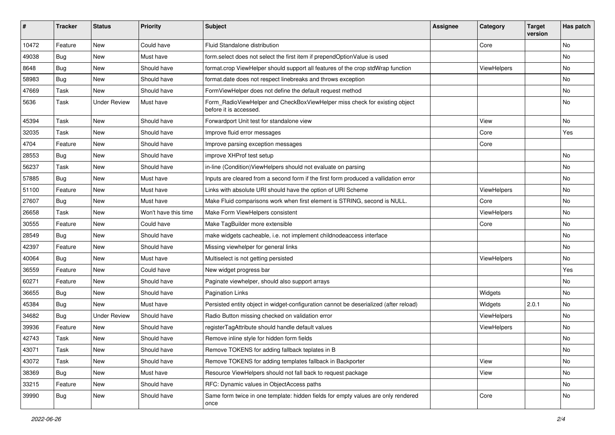| $\sharp$ | <b>Tracker</b> | <b>Status</b>       | <b>Priority</b>      | <b>Subject</b>                                                                                       | <b>Assignee</b> | Category    | <b>Target</b><br>version | Has patch |
|----------|----------------|---------------------|----------------------|------------------------------------------------------------------------------------------------------|-----------------|-------------|--------------------------|-----------|
| 10472    | Feature        | New                 | Could have           | Fluid Standalone distribution                                                                        |                 | Core        |                          | <b>No</b> |
| 49038    | Bug            | New                 | Must have            | form.select does not select the first item if prependOptionValue is used                             |                 |             |                          | No        |
| 8648     | Bug            | New                 | Should have          | format.crop ViewHelper should support all features of the crop stdWrap function                      |                 | ViewHelpers |                          | No        |
| 58983    | Bug            | New                 | Should have          | format.date does not respect linebreaks and throws exception                                         |                 |             |                          | <b>No</b> |
| 47669    | Task           | New                 | Should have          | FormViewHelper does not define the default request method                                            |                 |             |                          | No        |
| 5636     | Task           | <b>Under Review</b> | Must have            | Form_RadioViewHelper and CheckBoxViewHelper miss check for existing object<br>before it is accessed. |                 |             |                          | <b>No</b> |
| 45394    | Task           | New                 | Should have          | Forwardport Unit test for standalone view                                                            |                 | View        |                          | No        |
| 32035    | Task           | New                 | Should have          | Improve fluid error messages                                                                         |                 | Core        |                          | Yes       |
| 4704     | Feature        | New                 | Should have          | Improve parsing exception messages                                                                   |                 | Core        |                          |           |
| 28553    | Bug            | New                 | Should have          | improve XHProf test setup                                                                            |                 |             |                          | No        |
| 56237    | Task           | New                 | Should have          | in-line (Condition) View Helpers should not evaluate on parsing                                      |                 |             |                          | No        |
| 57885    | Bug            | New                 | Must have            | Inputs are cleared from a second form if the first form produced a vallidation error                 |                 |             |                          | No        |
| 51100    | Feature        | <b>New</b>          | Must have            | Links with absolute URI should have the option of URI Scheme                                         |                 | ViewHelpers |                          | <b>No</b> |
| 27607    | Bug            | New                 | Must have            | Make Fluid comparisons work when first element is STRING, second is NULL.                            |                 | Core        |                          | No        |
| 26658    | Task           | New                 | Won't have this time | Make Form ViewHelpers consistent                                                                     |                 | ViewHelpers |                          | No        |
| 30555    | Feature        | New                 | Could have           | Make TagBuilder more extensible                                                                      |                 | Core        |                          | No        |
| 28549    | Bug            | New                 | Should have          | make widgets cacheable, i.e. not implement childnodeaccess interface                                 |                 |             |                          | No        |
| 42397    | Feature        | New                 | Should have          | Missing viewhelper for general links                                                                 |                 |             |                          | <b>No</b> |
| 40064    | Bug            | New                 | Must have            | Multiselect is not getting persisted                                                                 |                 | ViewHelpers |                          | No        |
| 36559    | Feature        | <b>New</b>          | Could have           | New widget progress bar                                                                              |                 |             |                          | Yes       |
| 60271    | Feature        | New                 | Should have          | Paginate viewhelper, should also support arrays                                                      |                 |             |                          | No        |
| 36655    | Bug            | New                 | Should have          | <b>Pagination Links</b>                                                                              |                 | Widgets     |                          | No        |
| 45384    | Bug            | New                 | Must have            | Persisted entity object in widget-configuration cannot be deserialized (after reload)                |                 | Widgets     | 2.0.1                    | No        |
| 34682    | Bug            | <b>Under Review</b> | Should have          | Radio Button missing checked on validation error                                                     |                 | ViewHelpers |                          | No        |
| 39936    | Feature        | New                 | Should have          | registerTagAttribute should handle default values                                                    |                 | ViewHelpers |                          | No        |
| 42743    | Task           | New                 | Should have          | Remove inline style for hidden form fields                                                           |                 |             |                          | No        |
| 43071    | Task           | New                 | Should have          | Remove TOKENS for adding fallback teplates in B                                                      |                 |             |                          | No        |
| 43072    | Task           | New                 | Should have          | Remove TOKENS for adding templates fallback in Backporter                                            |                 | View        |                          | No        |
| 38369    | <b>Bug</b>     | New                 | Must have            | Resource ViewHelpers should not fall back to request package                                         |                 | View        |                          | No        |
| 33215    | Feature        | New                 | Should have          | RFC: Dynamic values in ObjectAccess paths                                                            |                 |             |                          | No        |
| 39990    | <b>Bug</b>     | New                 | Should have          | Same form twice in one template: hidden fields for empty values are only rendered<br>once            |                 | Core        |                          | No        |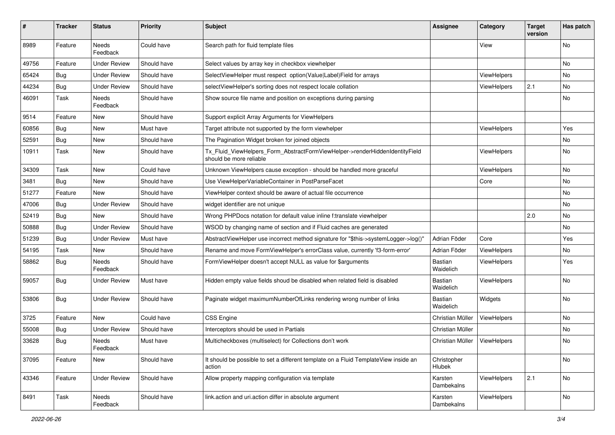| #     | <b>Tracker</b> | <b>Status</b>       | <b>Priority</b> | <b>Subject</b>                                                                                         | <b>Assignee</b>             | Category           | <b>Target</b><br>version | Has patch |
|-------|----------------|---------------------|-----------------|--------------------------------------------------------------------------------------------------------|-----------------------------|--------------------|--------------------------|-----------|
| 8989  | Feature        | Needs<br>Feedback   | Could have      | Search path for fluid template files                                                                   |                             | View               |                          | <b>No</b> |
| 49756 | Feature        | Under Review        | Should have     | Select values by array key in checkbox viewhelper                                                      |                             |                    |                          | No        |
| 65424 | Bug            | <b>Under Review</b> | Should have     | SelectViewHelper must respect option(Value Label)Field for arrays                                      |                             | ViewHelpers        |                          | No        |
| 44234 | Bug            | <b>Under Review</b> | Should have     | selectViewHelper's sorting does not respect locale collation                                           |                             | ViewHelpers        | 2.1                      | No        |
| 46091 | Task           | Needs<br>Feedback   | Should have     | Show source file name and position on exceptions during parsing                                        |                             |                    |                          | No        |
| 9514  | Feature        | New                 | Should have     | Support explicit Array Arguments for ViewHelpers                                                       |                             |                    |                          |           |
| 60856 | Bug            | New                 | Must have       | Target attribute not supported by the form viewhelper                                                  |                             | ViewHelpers        |                          | Yes       |
| 52591 | Bug            | New                 | Should have     | The Pagination Widget broken for joined objects                                                        |                             |                    |                          | No        |
| 10911 | Task           | New                 | Should have     | Tx_Fluid_ViewHelpers_Form_AbstractFormViewHelper->renderHiddenIdentityField<br>should be more reliable |                             | ViewHelpers        |                          | No        |
| 34309 | Task           | New                 | Could have      | Unknown ViewHelpers cause exception - should be handled more graceful                                  |                             | <b>ViewHelpers</b> |                          | No        |
| 3481  | Bug            | New                 | Should have     | Use ViewHelperVariableContainer in PostParseFacet                                                      |                             | Core               |                          | <b>No</b> |
| 51277 | Feature        | New                 | Should have     | ViewHelper context should be aware of actual file occurrence                                           |                             |                    |                          | No        |
| 47006 | Bug            | <b>Under Review</b> | Should have     | widget identifier are not unique                                                                       |                             |                    |                          | No        |
| 52419 | Bug            | New                 | Should have     | Wrong PHPDocs notation for default value inline f:translate viewhelper                                 |                             |                    | 2.0                      | No        |
| 50888 | Bug            | <b>Under Review</b> | Should have     | WSOD by changing name of section and if Fluid caches are generated                                     |                             |                    |                          | No        |
| 51239 | Bug            | <b>Under Review</b> | Must have       | AbstractViewHelper use incorrect method signature for "\$this->systemLogger->log()"                    | Adrian Föder                | Core               |                          | Yes       |
| 54195 | Task           | New                 | Should have     | Rename and move FormViewHelper's errorClass value, currently 'f3-form-error'                           | Adrian Föder                | ViewHelpers        |                          | No        |
| 58862 | Bug            | Needs<br>Feedback   | Should have     | FormViewHelper doesn't accept NULL as value for \$arguments                                            | Bastian<br>Waidelich        | ViewHelpers        |                          | Yes       |
| 59057 | Bug            | Under Review        | Must have       | Hidden empty value fields shoud be disabled when related field is disabled                             | <b>Bastian</b><br>Waidelich | ViewHelpers        |                          | No        |
| 53806 | <b>Bug</b>     | <b>Under Review</b> | Should have     | Paginate widget maximumNumberOfLinks rendering wrong number of links                                   | <b>Bastian</b><br>Waidelich | Widgets            |                          | No        |
| 3725  | Feature        | New                 | Could have      | <b>CSS Engine</b>                                                                                      | Christian Müller            | ViewHelpers        |                          | No        |
| 55008 | Bug            | <b>Under Review</b> | Should have     | Interceptors should be used in Partials                                                                | Christian Müller            |                    |                          | No        |
| 33628 | Bug            | Needs<br>Feedback   | Must have       | Multicheckboxes (multiselect) for Collections don't work                                               | Christian Müller            | ViewHelpers        |                          | No        |
| 37095 | Feature        | New                 | Should have     | It should be possible to set a different template on a Fluid TemplateView inside an<br>action          | Christopher<br>Hlubek       |                    |                          | No        |
| 43346 | Feature        | <b>Under Review</b> | Should have     | Allow property mapping configuration via template                                                      | Karsten<br>Dambekalns       | ViewHelpers        | 2.1                      | No        |
| 8491  | Task           | Needs<br>Feedback   | Should have     | link.action and uri.action differ in absolute argument                                                 | Karsten<br>Dambekalns       | ViewHelpers        |                          | No        |